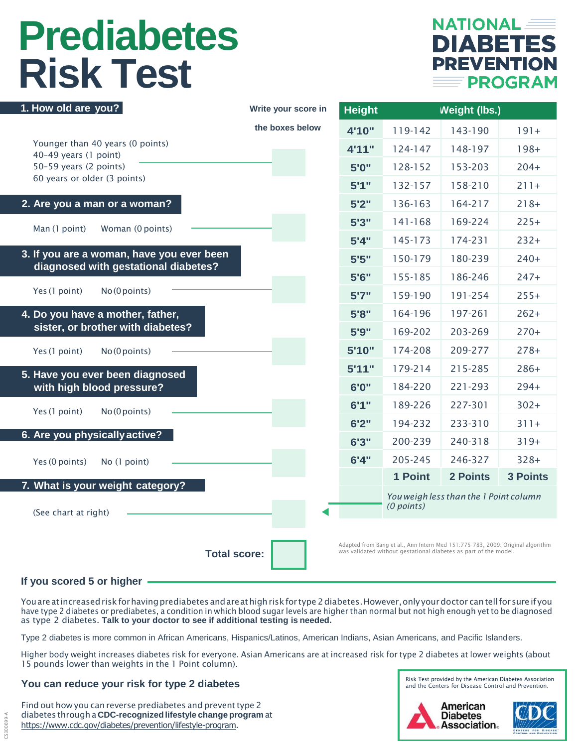# **Prediabetes Risk Test**



| 1. How old are you?                                                                                                                                                       | Write your score in | <b>Height</b> | <b>Weight (lbs.)</b>                                 |          |                 |
|---------------------------------------------------------------------------------------------------------------------------------------------------------------------------|---------------------|---------------|------------------------------------------------------|----------|-----------------|
|                                                                                                                                                                           | the boxes below     | 4'10"         | 119-142                                              | 143-190  | $191+$          |
| Younger than 40 years (0 points)<br>40-49 years (1 point)<br>50-59 years (2 points)<br>60 years or older (3 points)                                                       |                     | 4'11"         | 124-147                                              | 148-197  | $198+$          |
|                                                                                                                                                                           |                     | 5'0"          | 128-152                                              | 153-203  | $204+$          |
|                                                                                                                                                                           |                     | 5'1''         | 132-157                                              | 158-210  | $211+$          |
| 2. Are you a man or a woman?                                                                                                                                              |                     | 5'2''         | 136-163                                              | 164-217  | $218+$          |
| Man (1 point)<br>Woman (0 points)                                                                                                                                         |                     | 5'3''         | 141-168                                              | 169-224  | $225+$          |
|                                                                                                                                                                           |                     | 5'4''         | 145-173                                              | 174-231  | $232+$          |
| 3. If you are a woman, have you ever been<br>diagnosed with gestational diabetes?                                                                                         |                     | 5'5''         | 150-179                                              | 180-239  | $240+$          |
|                                                                                                                                                                           |                     | 5'6''         | 155-185                                              | 186-246  | $247+$          |
| Yes (1 point)<br>No (0 points)                                                                                                                                            |                     | 5'7''         | 159-190                                              | 191-254  | $255+$          |
| 4. Do you have a mother, father,<br>sister, or brother with diabetes?                                                                                                     |                     | 5'8''         | 164-196                                              | 197-261  | $262+$          |
|                                                                                                                                                                           |                     | 5'9''         | 169-202                                              | 203-269  | $270+$          |
| Yes (1 point)<br>No (0 points)                                                                                                                                            |                     | 5'10"         | 174-208                                              | 209-277  | $278+$          |
| 5. Have you ever been diagnosed                                                                                                                                           |                     | 5'11"         | 179-214                                              | 215-285  | $286+$          |
| with high blood pressure?                                                                                                                                                 |                     | 6'0"          | 184-220                                              | 221-293  | $294+$          |
| Yes (1 point)<br>No (0 points)                                                                                                                                            |                     | 6'1''         | 189-226                                              | 227-301  | $302+$          |
|                                                                                                                                                                           |                     | 6'2''         | 194-232                                              | 233-310  | $311+$          |
| 6. Are you physically active?                                                                                                                                             |                     | 6'3''         | 200-239                                              | 240-318  | $319+$          |
| Yes (0 points)<br>No (1 point)                                                                                                                                            |                     | 6'4''         | 205-245                                              | 246-327  | $328+$          |
| 7. What is your weight category?                                                                                                                                          |                     |               | 1 Point                                              | 2 Points | <b>3 Points</b> |
| (See chart at right)                                                                                                                                                      |                     |               | You weigh less than the 1 Point column<br>(0 points) |          |                 |
| Adapted from Bang et al., Ann Intern Med 151:775-783, 2009. Original algorithm<br>was validated without gestational diabetes as part of the model.<br><b>Total score:</b> |                     |               |                                                      |          |                 |

#### **If you scored 5 or higher**

CS300699-A

You are at increased risk for having prediabetes and are at high risk for type 2 diabetes. However, only your doctor can tell for sure if you have type 2 diabetes or prediabetes, a condition in which blood sugar levels are higher than normal but not high enough yet to be diagnosed as type 2 diabetes. **Talk to your doctor to see if additional testing is needed.**

Type 2 diabetes is more common in African Americans, Hispanics/Latinos, American Indians, Asian Americans, and Pacific Islanders.

Higher body weight increases diabetes risk for everyone. Asian Americans are at increased risk for type 2 diabetes at lower weights (about 15 pounds lower than weights in the 1 Point column).

#### **You can reduce your risk for type 2 diabetes**

Find out how you can reverse prediabetes and prevent type 2 diabetes through a **CDC-recognizedlifestyle change program** at [https://www.cdc.gov/diabetes/prevention/lifestyle-pro](http://www.cdc.gov/diabetes/prevention/lifestyle-program)gram.

Risk Test provided by the American Diabetes Association<br>and the Centers for Disease Control and Prevention.